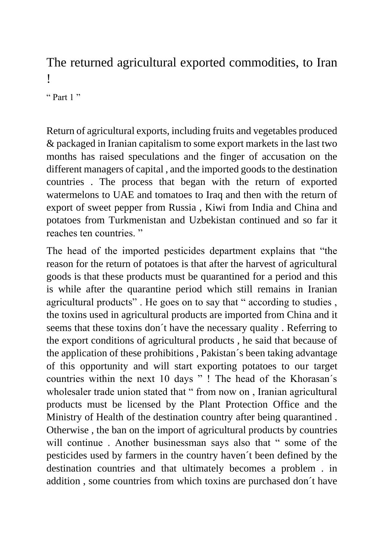## The returned agricultural exported commodities, to Iran !

" Part  $1$ "

Return of agricultural exports, including fruits and vegetables produced & packaged in Iranian capitalism to some export markets in the last two months has raised speculations and the finger of accusation on the different managers of capital , and the imported goods to the destination countries . The process that began with the return of exported watermelons to UAE and tomatoes to Iraq and then with the return of export of sweet pepper from Russia , Kiwi from India and China and potatoes from Turkmenistan and Uzbekistan continued and so far it reaches ten countries. "

The head of the imported pesticides department explains that "the reason for the return of potatoes is that after the harvest of agricultural goods is that these products must be quarantined for a period and this is while after the quarantine period which still remains in Iranian agricultural products". He goes on to say that " according to studies, the toxins used in agricultural products are imported from China and it seems that these toxins don´t have the necessary quality . Referring to the export conditions of agricultural products , he said that because of the application of these prohibitions , Pakistan´s been taking advantage of this opportunity and will start exporting potatoes to our target countries within the next 10 days " ! The head of the Khorasan´s wholesaler trade union stated that " from now on, Iranian agricultural products must be licensed by the Plant Protection Office and the Ministry of Health of the destination country after being quarantined . Otherwise , the ban on the import of agricultural products by countries will continue . Another businessman says also that " some of the pesticides used by farmers in the country haven´t been defined by the destination countries and that ultimately becomes a problem . in addition , some countries from which toxins are purchased don´t have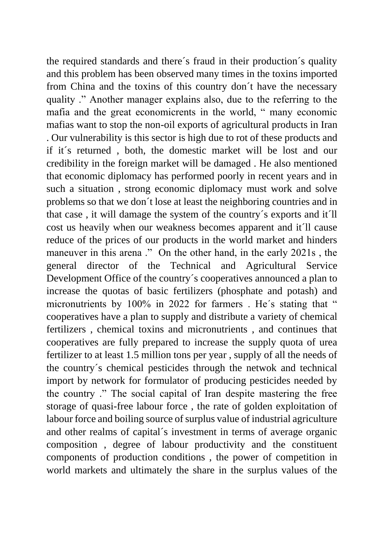the required standards and there´s fraud in their production´s quality and this problem has been observed many times in the toxins imported from China and the toxins of this country don´t have the necessary quality ." Another manager explains also, due to the referring to the mafia and the great economicrents in the world, " many economic mafias want to stop the non-oil exports of agricultural products in Iran . Our vulnerability is this sector is high due to rot of these products and if it´s returned , both, the domestic market will be lost and our credibility in the foreign market will be damaged . He also mentioned that economic diplomacy has performed poorly in recent years and in such a situation , strong economic diplomacy must work and solve problems so that we don´t lose at least the neighboring countries and in that case , it will damage the system of the country´s exports and it´ll cost us heavily when our weakness becomes apparent and it´ll cause reduce of the prices of our products in the world market and hinders maneuver in this arena ." On the other hand, in the early 2021s, the general director of the Technical and Agricultural Service Development Office of the country´s cooperatives announced a plan to increase the quotas of basic fertilizers (phosphate and potash) and micronutrients by 100% in 2022 for farmers. He's stating that " cooperatives have a plan to supply and distribute a variety of chemical fertilizers , chemical toxins and micronutrients , and continues that cooperatives are fully prepared to increase the supply quota of urea fertilizer to at least 1.5 million tons per year , supply of all the needs of the country´s chemical pesticides through the netwok and technical import by network for formulator of producing pesticides needed by the country ." The social capital of Iran despite mastering the free storage of quasi-free labour force , the rate of golden exploitation of labour force and boiling source of surplus value of industrial agriculture and other realms of capital´s investment in terms of average organic composition , degree of labour productivity and the constituent components of production conditions , the power of competition in world markets and ultimately the share in the surplus values of the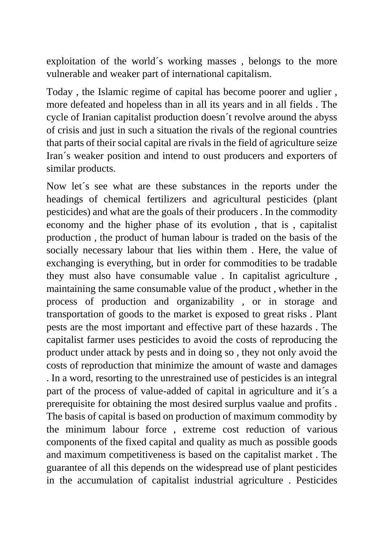exploitation of the world´s working masses , belongs to the more vulnerable and weaker part of international capitalism.

Today , the Islamic regime of capital has become poorer and uglier , more defeated and hopeless than in all its years and in all fields . The cycle of Iranian capitalist production doesn´t revolve around the abyss of crisis and just in such a situation the rivals of the regional countries that parts of their social capital are rivals in the field of agriculture seize Iran´s weaker position and intend to oust producers and exporters of similar products.

Now let´s see what are these substances in the reports under the headings of chemical fertilizers and agricultural pesticides (plant pesticides) and what are the goals of their producers . In the commodity economy and the higher phase of its evolution , that is , capitalist production , the product of human labour is traded on the basis of the socially necessary labour that lies within them . Here, the value of exchanging is everything, but in order for commodities to be tradable they must also have consumable value . In capitalist agriculture , maintaining the same consumable value of the product , whether in the process of production and organizability , or in storage and transportation of goods to the market is exposed to great risks . Plant pests are the most important and effective part of these hazards . The capitalist farmer uses pesticides to avoid the costs of reproducing the product under attack by pests and in doing so , they not only avoid the costs of reproduction that minimize the amount of waste and damages . In a word, resorting to the unrestrained use of pesticides is an integral part of the process of value-added of capital in agriculture and it´s a prerequisite for obtaining the most desired surplus vaalue and profits . The basis of capital is based on production of maximum commodity by the minimum labour force , extreme cost reduction of various components of the fixed capital and quality as much as possible goods and maximum competitiveness is based on the capitalist market . The guarantee of all this depends on the widespread use of plant pesticides in the accumulation of capitalist industrial agriculture . Pesticides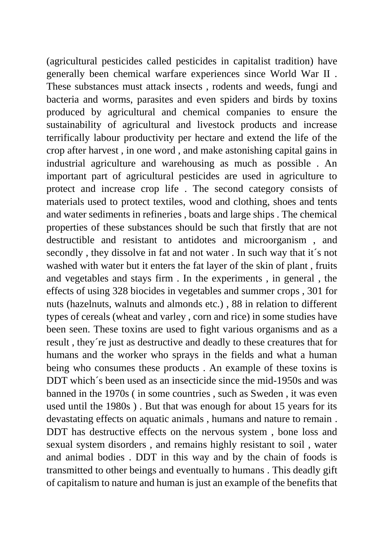(agricultural pesticides called pesticides in capitalist tradition) have generally been chemical warfare experiences since World War II . These substances must attack insects , rodents and weeds, fungi and bacteria and worms, parasites and even spiders and birds by toxins produced by agricultural and chemical companies to ensure the sustainability of agricultural and livestock products and increase terrifically labour productivity per hectare and extend the life of the crop after harvest , in one word , and make astonishing capital gains in industrial agriculture and warehousing as much as possible . An important part of agricultural pesticides are used in agriculture to protect and increase crop life . The second category consists of materials used to protect textiles, wood and clothing, shoes and tents and water sediments in refineries , boats and large ships . The chemical properties of these substances should be such that firstly that are not destructible and resistant to antidotes and microorganism , and secondly , they dissolve in fat and not water . In such way that it´s not washed with water but it enters the fat layer of the skin of plant , fruits and vegetables and stays firm . In the experiments , in general , the effects of using 328 biocides in vegetables and summer crops , 301 for nuts (hazelnuts, walnuts and almonds etc.) , 88 in relation to different types of cereals (wheat and varley , corn and rice) in some studies have been seen. These toxins are used to fight various organisms and as a result , they´re just as destructive and deadly to these creatures that for humans and the worker who sprays in the fields and what a human being who consumes these products . An example of these toxins is DDT which's been used as an insecticide since the mid-1950s and was banned in the 1970s ( in some countries , such as Sweden , it was even used until the 1980s ) . But that was enough for about 15 years for its devastating effects on aquatic animals , humans and nature to remain . DDT has destructive effects on the nervous system , bone loss and sexual system disorders , and remains highly resistant to soil , water and animal bodies . DDT in this way and by the chain of foods is transmitted to other beings and eventually to humans . This deadly gift of capitalism to nature and human is just an example of the benefits that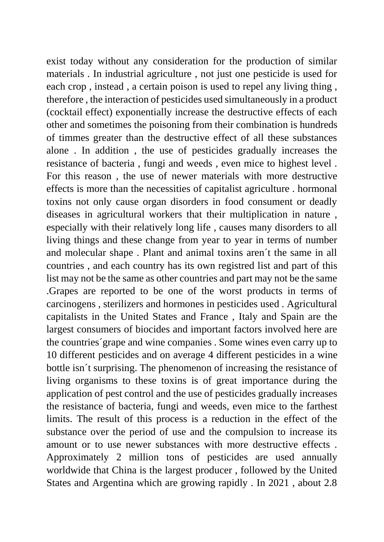exist today without any consideration for the production of similar materials . In industrial agriculture , not just one pesticide is used for each crop , instead , a certain poison is used to repel any living thing , therefore , the interaction of pesticides used simultaneously in a product (cocktail effect) exponentially increase the destructive effects of each other and sometimes the poisoning from their combination is hundreds of timmes greater than the destructive effect of all these substances alone . In addition , the use of pesticides gradually increases the resistance of bacteria , fungi and weeds , even mice to highest level . For this reason , the use of newer materials with more destructive effects is more than the necessities of capitalist agriculture . hormonal toxins not only cause organ disorders in food consument or deadly diseases in agricultural workers that their multiplication in nature , especially with their relatively long life , causes many disorders to all living things and these change from year to year in terms of number and molecular shape . Plant and animal toxins aren´t the same in all countries , and each country has its own registred list and part of this list may not be the same as other countries and part may not be the same .Grapes are reported to be one of the worst products in terms of carcinogens , sterilizers and hormones in pesticides used . Agricultural capitalists in the United States and France , Italy and Spain are the largest consumers of biocides and important factors involved here are the countries´grape and wine companies . Some wines even carry up to 10 different pesticides and on average 4 different pesticides in a wine bottle isn´t surprising. The phenomenon of increasing the resistance of living organisms to these toxins is of great importance during the application of pest control and the use of pesticides gradually increases the resistance of bacteria, fungi and weeds, even mice to the farthest limits. The result of this process is a reduction in the effect of the substance over the period of use and the compulsion to increase its amount or to use newer substances with more destructive effects . Approximately 2 million tons of pesticides are used annually worldwide that China is the largest producer , followed by the United States and Argentina which are growing rapidly . In 2021 , about 2.8